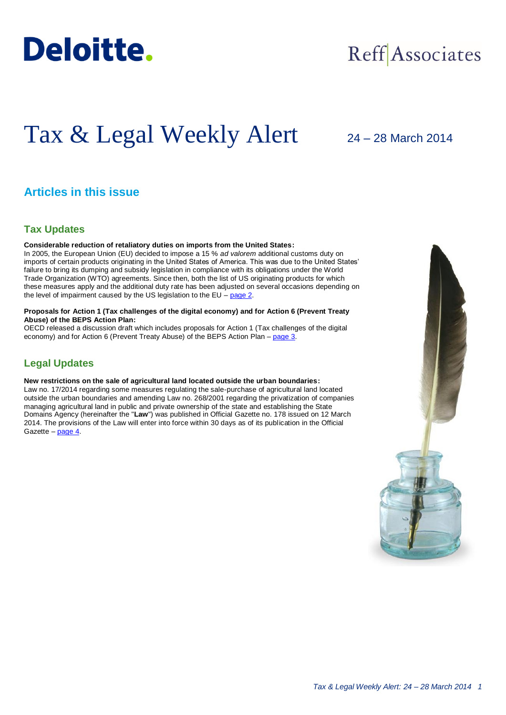

## Reff Associates

# Tax & Legal Weekly Alert

## 24 – 28 March 2014

## **Articles in this issue**

## **Tax Updates**

## **Considerable reduction of retaliatory duties on imports from the United States:**

In 2005, the European Union (EU) decided to impose a 15 % *ad valorem* additional customs duty on imports of certain products originating in the United States of America. This was due to the United States' failure to bring its dumping and subsidy legislation in compliance with its obligations under the World Trade Organization (WTO) agreements. Since then, both the list of US originating products for which these measures apply and the additional duty rate has been adjusted on several occasions depending on the level of impairment caused by the US legislation to the EU – [page 2.](#page-1-0)

## **Proposals for Action 1 (Tax challenges of the digital economy) and for Action 6 (Prevent Treaty Abuse) of the BEPS Action Plan:**

OECD released a discussion draft which includes proposals for Action 1 (Tax challenges of the digital economy) and for Action 6 (Prevent Treaty Abuse) of the BEPS Action Plan – [page 3.](#page-2-0)

## **Legal Updates**

### **New restrictions on the sale of agricultural land located outside the urban boundaries:**

Law no. 17/2014 regarding some measures regulating the sale-purchase of agricultural land located outside the urban boundaries and amending Law no. 268/2001 regarding the privatization of companies managing agricultural land in public and private ownership of the state and establishing the State Domains Agency (hereinafter the "**Law**") was published in Official Gazette no. 178 issued on 12 March 2014. The provisions of the Law will enter into force within 30 days as of its publication in the Official Gazette – [page 4.](#page-3-0)

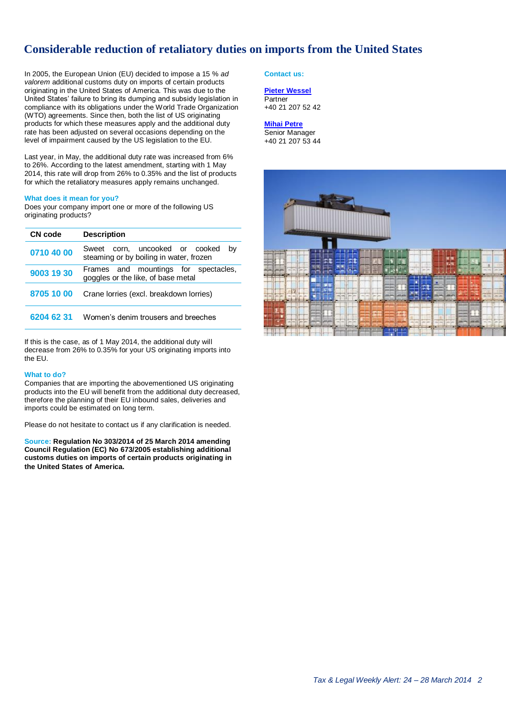## <span id="page-1-0"></span>**Considerable reduction of retaliatory duties on imports from the United States**

In 2005, the European Union (EU) decided to impose a 15 % *ad valorem* additional customs duty on imports of certain products originating in the United States of America. This was due to the United States' failure to bring its dumping and subsidy legislation in compliance with its obligations under the World Trade Organization (WTO) agreements. Since then, both the list of US originating products for which these measures apply and the additional duty rate has been adjusted on several occasions depending on the level of impairment caused by the US legislation to the EU.

Last year, in May, the additional duty rate was increased from 6% to 26%. According to the latest amendment, starting with 1 May 2014, this rate will drop from 26% to 0.35% and the list of products for which the retaliatory measures apply remains unchanged.

#### **What does it mean for you?**

Does your company import one or more of the following US originating products?

| CN code    | <b>Description</b>                                                              |
|------------|---------------------------------------------------------------------------------|
| 0710 40 00 | Sweet corn, uncooked or cooked<br>bv<br>steaming or by boiling in water, frozen |
| 9003 19 30 | Frames and mountings for spectacles,<br>goggles or the like, of base metal      |
| 8705 10 00 | Crane lorries (excl. breakdown lorries)                                         |
| 6204 62 31 | Women's denim trousers and breeches                                             |

If this is the case, as of 1 May 2014, the additional duty will decrease from 26% to 0.35% for your US originating imports into the EU.

#### **What to do?**

Companies that are importing the abovementioned US originating products into the EU will benefit from the additional duty decreased, therefore the planning of their EU inbound sales, deliveries and imports could be estimated on long term.

Please do not hesitate to contact us if any clarification is needed.

**Source: Regulation No 303/2014 of 25 March 2014 amending Council Regulation (EC) No 673/2005 establishing additional customs duties on imports of certain products originating in the United States of America.**

**Contact us:**

## **[Pieter Wessel](mailto:pwessel@deloittece.com)**

**Partner** +40 21 207 52 42

## **[Mihai Petre](mailto:mipetre@deloittece.com)**

Senior Manager +40 21 207 53 44

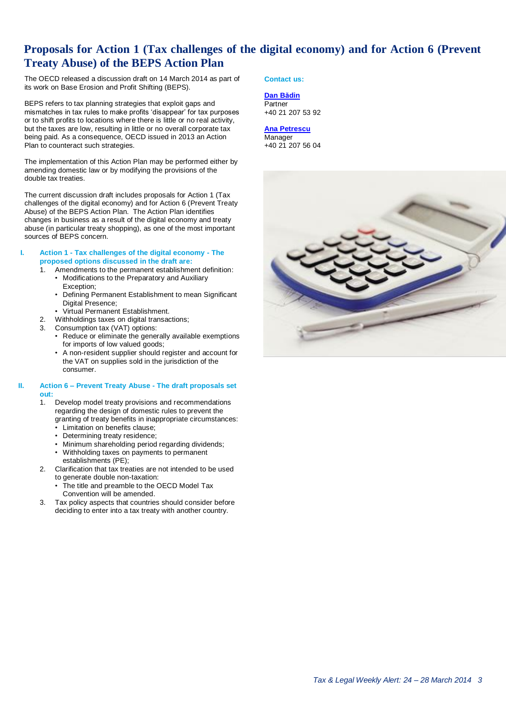## <span id="page-2-0"></span>**Proposals for Action 1 (Tax challenges of the digital economy) and for Action 6 (Prevent Treaty Abuse) of the BEPS Action Plan**

The OECD released a discussion draft on 14 March 2014 as part of its work on Base Erosion and Profit Shifting (BEPS).

BEPS refers to tax planning strategies that exploit gaps and mismatches in tax rules to make profits 'disappear' for tax purposes or to shift profits to locations where there is little or no real activity, but the taxes are low, resulting in little or no overall corporate tax being paid. As a consequence, OECD issued in 2013 an Action Plan to counteract such strategies.

The implementation of this Action Plan may be performed either by amending domestic law or by modifying the provisions of the double tax treaties.

The current discussion draft includes proposals for Action 1 (Tax challenges of the digital economy) and for Action 6 (Prevent Treaty Abuse) of the BEPS Action Plan. The Action Plan identifies  $chane$  in business as a result of the digital economy and treaty abuse (in particular treaty shopping), as one of the most important sources of BEPS concern.

- **I. Action 1 - Tax challenges of the digital economy - The proposed options discussed in the draft are:** 
	- 1. Amendments to the permanent establishment definition:
		- Modifications to the Preparatory and Auxiliary Exception;
		- Defining Permanent Establishment to mean Significant Digital Presence;
		- Virtual Permanent Establishment.
	- 2. Withholdings taxes on digital transactions;
	- 3. Consumption tax (VAT) options:
		- Reduce or eliminate the generally available exemptions for imports of low valued goods;
		- A non-resident supplier should register and account for the VAT on supplies sold in the jurisdiction of the consumer.

#### **II. Action 6 – Prevent Treaty Abuse - The draft proposals set out:**

- 1. Develop model treaty provisions and recommendations regarding the design of domestic rules to prevent the granting of treaty benefits in inappropriate circumstances:
	- Limitation on benefits clause;
	- Determining treaty residence;
	- Minimum shareholding period regarding dividends; • Withholding taxes on payments to permanent establishments (PE);
- 2. Clarification that tax treaties are not intended to be used to generate double non-taxation:
	- The title and preamble to the OECD Model Tax Convention will be amended.
- 3. Tax policy aspects that countries should consider before deciding to enter into a tax treaty with another country.

## **Contact us:**

**[Dan Bădin](mailto:dbadin@deloittece.com) Partner** +40 21 207 53 92

#### **[Ana Petrescu](mailto:apetrescu@deloittece.com)** Manager

+40 21 207 56 04

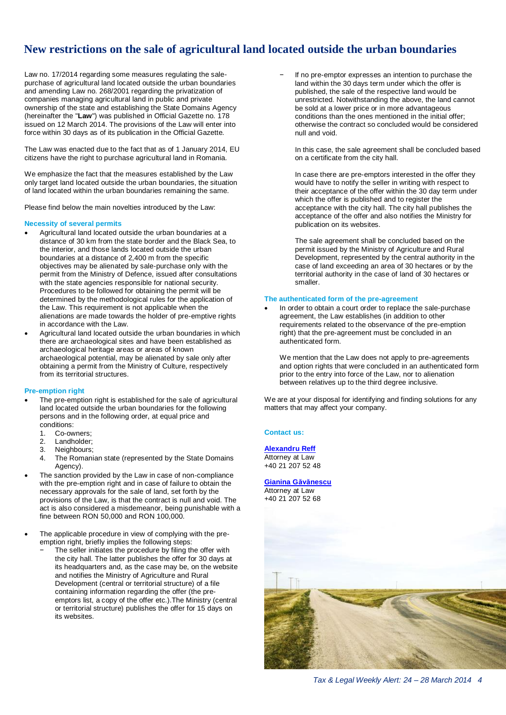## <span id="page-3-0"></span>**New restrictions on the sale of agricultural land located outside the urban boundaries**

Law no. 17/2014 regarding some measures regulating the salepurchase of agricultural land located outside the urban boundaries and amending Law no. 268/2001 regarding the privatization of companies managing agricultural land in public and private ownership of the state and establishing the State Domains Agency (hereinafter the "**Law**") was published in Official Gazette no. 178 issued on 12 March 2014. The provisions of the Law will enter into force within 30 days as of its publication in the Official Gazette.

The Law was enacted due to the fact that as of 1 January 2014, EU citizens have the right to purchase agricultural land in Romania.

We emphasize the fact that the measures established by the Law only target land located outside the urban boundaries, the situation of land located within the urban boundaries remaining the same.

Please find below the main novelties introduced by the Law:

#### **Necessity of several permits**

- Agricultural land located outside the urban boundaries at a distance of 30 km from the state border and the Black Sea, to the interior, and those lands located outside the urban boundaries at a distance of 2,400 m from the specific objectives may be alienated by sale-purchase only with the permit from the Ministry of Defence, issued after consultations with the state agencies responsible for national security. Procedures to be followed for obtaining the permit will be determined by the methodological rules for the application of the Law. This requirement is not applicable when the alienations are made towards the holder of pre-emptive rights in accordance with the Law.
- Agricultural land located outside the urban boundaries in which there are archaeological sites and have been established as archaeological heritage areas or areas of known archaeological potential, may be alienated by sale only after obtaining a permit from the Ministry of Culture, respectively from its territorial structures.

#### **Pre-emption right**

- The pre-emption right is established for the sale of agricultural land located outside the urban boundaries for the following persons and in the following order, at equal price and conditions:
	-
	- 1. Co-owners;<br>2. Landholder: Landholder;
	- 3. Neighbours;
	- 4. The Romanian state (represented by the State Domains Agency).
- The sanction provided by the Law in case of non-compliance with the pre-emption right and in case of failure to obtain the necessary approvals for the sale of land, set forth by the provisions of the Law, is that the contract is null and void. The act is also considered a misdemeanor, being punishable with a fine between RON 50,000 and RON 100,000.
- The applicable procedure in view of complying with the preemption right, briefly implies the following steps:
	- The seller initiates the procedure by filing the offer with the city hall. The latter publishes the offer for 30 days at its headquarters and, as the case may be, on the website and notifies the Ministry of Agriculture and Rural Development (central or territorial structure) of a file containing information regarding the offer (the preemptors list, a copy of the offer etc.).The Ministry (central or territorial structure) publishes the offer for 15 days on its websites.

If no pre-emptor expresses an intention to purchase the land within the 30 days term under which the offer is published, the sale of the respective land would be unrestricted. Notwithstanding the above, the land cannot be sold at a lower price or in more advantageous conditions than the ones mentioned in the initial offer; otherwise the contract so concluded would be considered null and void.

In this case, the sale agreement shall be concluded based on a certificate from the city hall.

In case there are pre-emptors interested in the offer they would have to notify the seller in writing with respect to their acceptance of the offer within the 30 day term under which the offer is published and to register the acceptance with the city hall. The city hall publishes the acceptance of the offer and also notifies the Ministry for publication on its websites.

The sale agreement shall be concluded based on the permit issued by the Ministry of Agriculture and Rural Development, represented by the central authority in the case of land exceeding an area of 30 hectares or by the territorial authority in the case of land of 30 hectares or smaller.

#### **The authenticated form of the pre-agreement**

 In order to obtain a court order to replace the sale-purchase agreement, the Law establishes (in addition to other requirements related to the observance of the pre-emption right) that the pre-agreement must be concluded in an authenticated form.

We mention that the Law does not apply to pre-agreements and option rights that were concluded in an authenticated form prior to the entry into force of the Law, nor to alienation between relatives up to the third degree inclusive.

We are at your disposal for identifying and finding solutions for any matters that may affect your company.

#### **Contact us:**

**[Alexandru Reff](mailto:areff@deloitteCE.com)** Attorney at Law +40 21 207 52 48

## **[Gianina Găvănescu](mailto:ggavanescu@deloittece.com)**

Attorney at Law +40 21 207 52 68